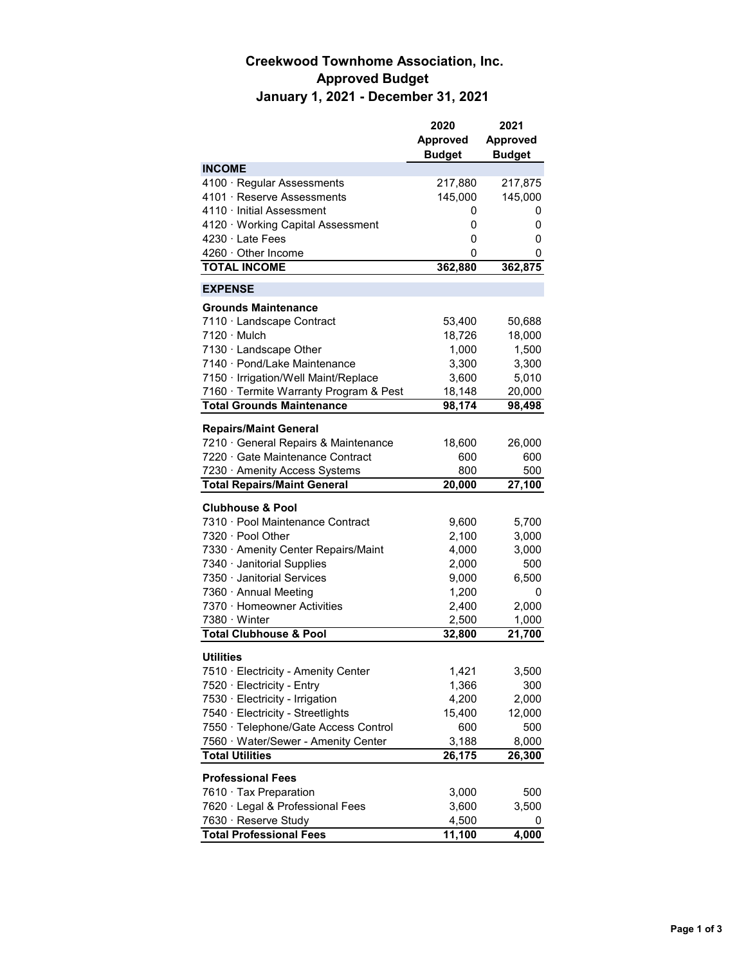## **Creekwood Townhome Association, Inc. Approved Budget January 1, 2021 - December 31, 2021**

|                                        | 2020            | 2021            |
|----------------------------------------|-----------------|-----------------|
|                                        | <b>Approved</b> | <b>Approved</b> |
|                                        | <b>Budget</b>   | <b>Budget</b>   |
| <b>INCOME</b>                          |                 |                 |
| 4100 · Regular Assessments             | 217,880         | 217,875         |
| 4101 · Reserve Assessments             | 145,000         | 145,000         |
| 4110 Initial Assessment                | 0               | 0               |
| 4120 · Working Capital Assessment      | 0               | 0               |
| $4230 \cdot 1$ ate Fees                | 0               | 0               |
| $4260 \cdot$ Other Income              | 0               | 0               |
| <b>TOTAL INCOME</b>                    | 362,880         | 362,875         |
| <b>EXPENSE</b>                         |                 |                 |
| <b>Grounds Maintenance</b>             |                 |                 |
| 7110 · Landscape Contract              | 53,400          | 50,688          |
| 7120 · Mulch                           | 18,726          | 18,000          |
| 7130 · Landscape Other                 | 1,000           | 1,500           |
| 7140 · Pond/Lake Maintenance           | 3,300           | 3,300           |
| 7150 · Irrigation/Well Maint/Replace   | 3,600           | 5,010           |
| 7160 · Termite Warranty Program & Pest | 18,148          | 20,000          |
| <b>Total Grounds Maintenance</b>       | 98,174          | 98,498          |
|                                        |                 |                 |
| <b>Repairs/Maint General</b>           |                 |                 |
| 7210 General Repairs & Maintenance     | 18,600          | 26,000          |
| 7220 Gate Maintenance Contract         | 600             | 600             |
| 7230 Amenity Access Systems            | 800             | 500             |
| <b>Total Repairs/Maint General</b>     | 20,000          | 27,100          |
| <b>Clubhouse &amp; Pool</b>            |                 |                 |
| 7310 · Pool Maintenance Contract       | 9,600           | 5,700           |
| 7320 · Pool Other                      | 2,100           | 3,000           |
| 7330 Amenity Center Repairs/Maint      | 4,000           | 3,000           |
| 7340 · Janitorial Supplies             | 2,000           | 500             |
| 7350 · Janitorial Services             | 9,000           | 6,500           |
| 7360 · Annual Meeting                  | 1,200           | 0               |
| 7370 · Homeowner Activities            | 2,400           | 2,000           |
| $7380 \cdot$ Winter                    | 2,500           | 1,000           |
| <b>Total Clubhouse &amp; Pool</b>      | 32,800          | 21,700          |
|                                        |                 |                 |
| <b>Utilities</b>                       |                 |                 |
| 7510 · Electricity - Amenity Center    | 1,421           | 3,500           |
| 7520 · Electricity - Entry             | 1,366           | 300             |
| 7530 · Electricity - Irrigation        | 4,200           | 2,000           |
| 7540 · Electricity - Streetlights      | 15,400          | 12,000          |
| 7550 · Telephone/Gate Access Control   | 600             | 500             |
| 7560 · Water/Sewer - Amenity Center    | 3,188           | 8,000           |
| <b>Total Utilities</b>                 | 26,175          | 26,300          |
| <b>Professional Fees</b>               |                 |                 |
| 7610 Tax Preparation                   | 3,000           | 500             |
| 7620 · Legal & Professional Fees       | 3,600           | 3,500           |
| 7630 · Reserve Study                   | 4,500           |                 |
| <b>Total Professional Fees</b>         | 11,100          | 4,000           |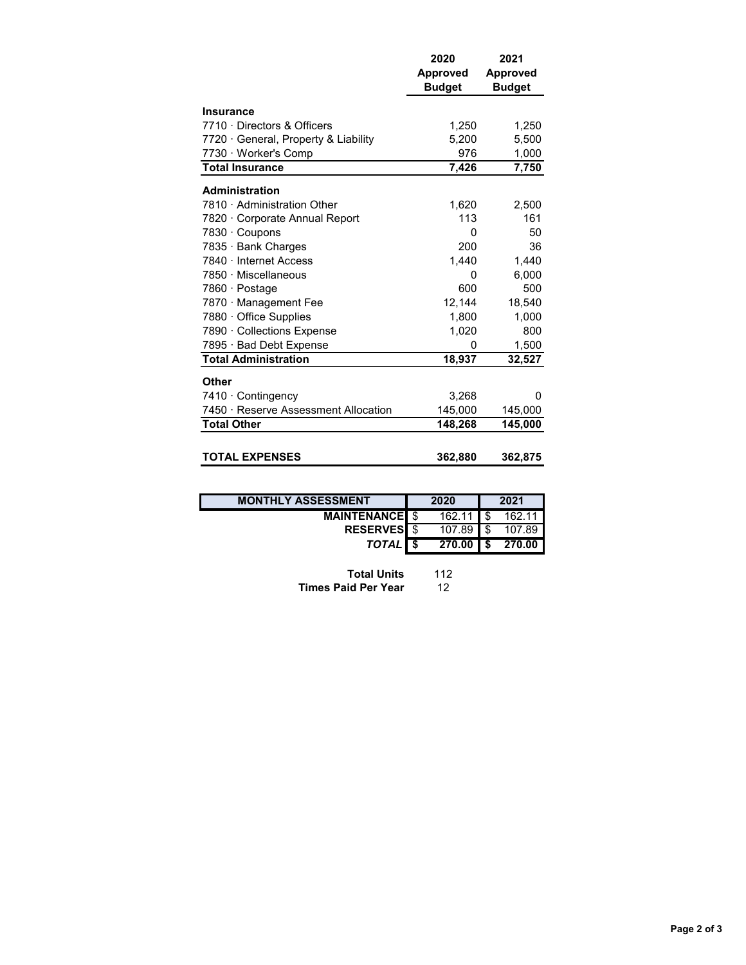|                                      | 2020<br><b>Approved</b><br><b>Budget</b> | 2021<br><b>Approved</b><br><b>Budget</b> |
|--------------------------------------|------------------------------------------|------------------------------------------|
| <b>Insurance</b>                     |                                          |                                          |
| 7710 Directors & Officers            | 1,250                                    | 1,250                                    |
| 7720 General, Property & Liability   | 5,200                                    | 5,500                                    |
| 7730 Worker's Comp                   | 976                                      | 1,000                                    |
| <b>Total Insurance</b>               | 7,426                                    | 7,750                                    |
| <b>Administration</b>                |                                          |                                          |
| 7810 Administration Other            | 1,620                                    | 2,500                                    |
| 7820 Corporate Annual Report         | 113                                      | 161                                      |
| 7830 · Coupons                       | 0                                        | 50                                       |
| 7835 · Bank Charges                  | 200                                      | 36                                       |
| 7840 · Internet Access               | 1.440                                    | 1,440                                    |
| 7850 · Miscellaneous                 | 0                                        | 6,000                                    |
| 7860 · Postage                       | 600                                      | 500                                      |
| 7870 · Management Fee                | 12,144                                   | 18,540                                   |
| 7880 · Office Supplies               | 1,800                                    | 1,000                                    |
| 7890 · Collections Expense           | 1,020                                    | 800                                      |
| 7895 · Bad Debt Expense              | 0                                        | 1,500                                    |
| <b>Total Administration</b>          | 18,937                                   | 32,527                                   |
| <b>Other</b>                         |                                          |                                          |
| 7410 Contingency                     | 3,268                                    | 0                                        |
| 7450 · Reserve Assessment Allocation | 145,000                                  | 145,000                                  |
| <b>Total Other</b>                   | 148,268                                  | 145,000                                  |
|                                      |                                          |                                          |
| <b>TOTAL EXPENSES</b>                | 362,880                                  | 362,875                                  |

| <b>MONTHLY ASSESSMENT</b> | 2020   |    | 2021   |
|---------------------------|--------|----|--------|
| <b>MAINTENANCE</b> \$     | 162.11 |    | 162.11 |
| <b>RESERVES</b> \$        | 107.89 |    | 107.89 |
| TOTAL S                   | 270.00 | ΙS | 270.00 |

| <b>Total Units</b>         | 112 |
|----------------------------|-----|
| <b>Times Paid Per Year</b> | 12  |